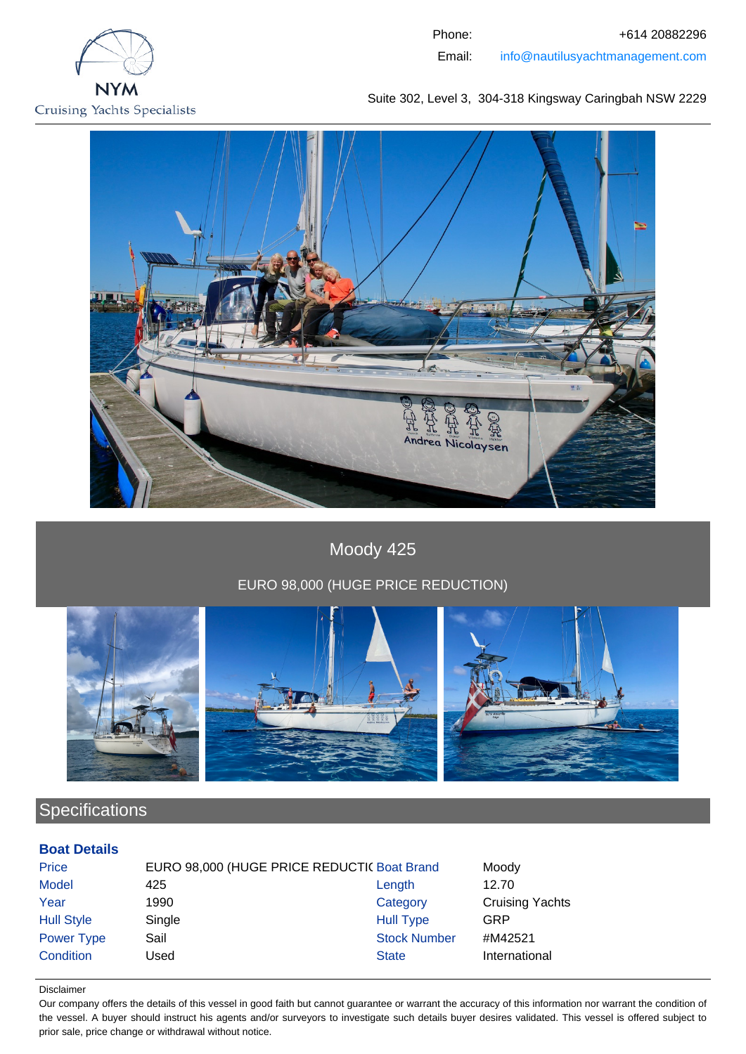

Suite 302, Level 3, 304-318 Kingsway Caringbah NSW 2229



# Moody 425

## EURO 98,000 (HUGE PRICE REDUCTION)



# **Specifications**

### **Boat Details**

| <b>Price</b>      | EURO 98,000 (HUGE PRICE REDUCTIC Boat Brand |                     | Moody                  |
|-------------------|---------------------------------------------|---------------------|------------------------|
| <b>Model</b>      | 425                                         | Length              | 12.70                  |
| Year              | 1990                                        | Category            | <b>Cruising Yachts</b> |
| <b>Hull Style</b> | Single                                      | <b>Hull Type</b>    | GRP                    |
| Power Type        | Sail                                        | <b>Stock Number</b> | #M42521                |
| Condition         | Used                                        | <b>State</b>        | International          |

#### Disclaimer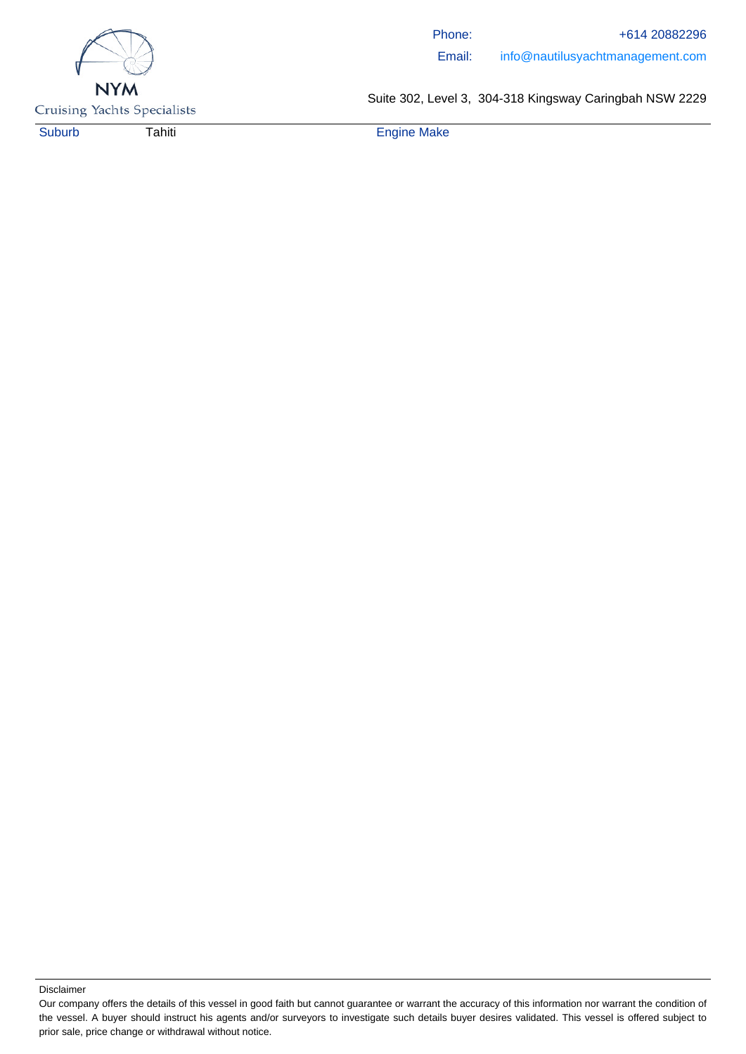

**Cruising Yachts Specialists** 

Suite 302, Level 3, 304-318 Kingsway Caringbah NSW 2229

Suburb Tahiti Engine Make

Our company offers the details of this vessel in good faith but cannot guarantee or warrant the accuracy of this information nor warrant the condition of the vessel. A buyer should instruct his agents and/or surveyors to investigate such details buyer desires validated. This vessel is offered subject to prior sale, price change or withdrawal without notice.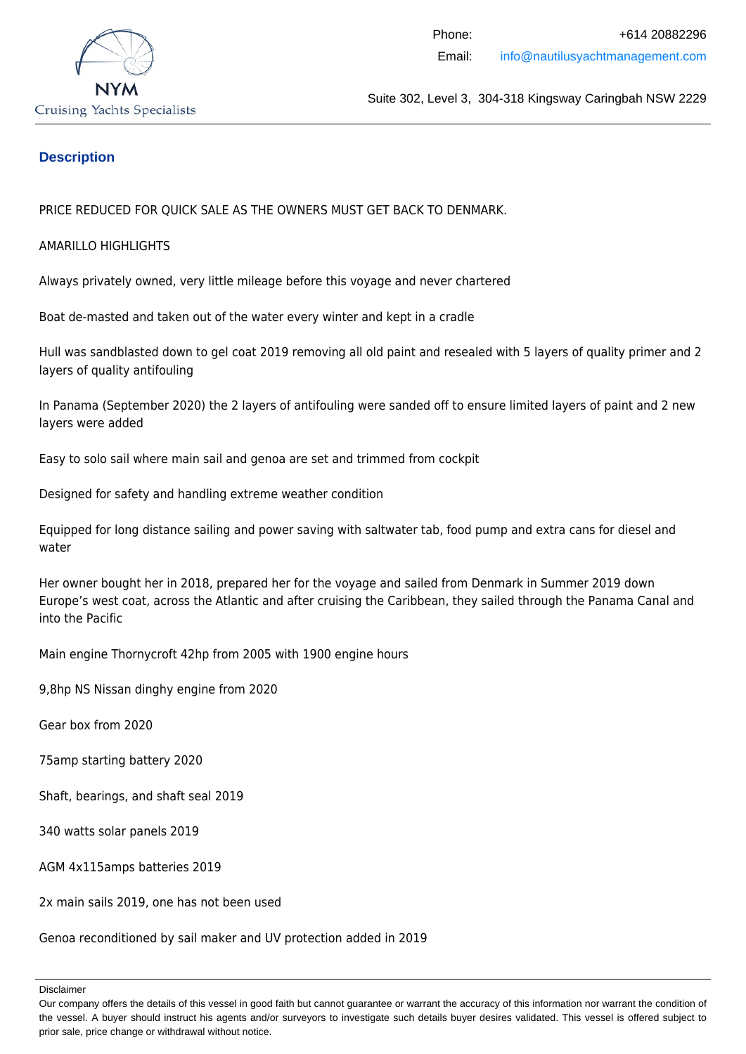

### **Description**

PRICE REDUCED FOR QUICK SALE AS THE OWNERS MUST GET BACK TO DENMARK.

#### AMARILLO HIGHLIGHTS

Always privately owned, very little mileage before this voyage and never chartered

Boat de-masted and taken out of the water every winter and kept in a cradle

Hull was sandblasted down to gel coat 2019 removing all old paint and resealed with 5 layers of quality primer and 2 layers of quality antifouling

In Panama (September 2020) the 2 layers of antifouling were sanded off to ensure limited layers of paint and 2 new layers were added

Easy to solo sail where main sail and genoa are set and trimmed from cockpit

Designed for safety and handling extreme weather condition

Equipped for long distance sailing and power saving with saltwater tab, food pump and extra cans for diesel and water

Her owner bought her in 2018, prepared her for the voyage and sailed from Denmark in Summer 2019 down Europe's west coat, across the Atlantic and after cruising the Caribbean, they sailed through the Panama Canal and into the Pacific

Main engine Thornycroft 42hp from 2005 with 1900 engine hours

9,8hp NS Nissan dinghy engine from 2020

Gear box from 2020

75amp starting battery 2020

Shaft, bearings, and shaft seal 2019

340 watts solar panels 2019

AGM 4x115amps batteries 2019

2x main sails 2019, one has not been used

Genoa reconditioned by sail maker and UV protection added in 2019

Our company offers the details of this vessel in good faith but cannot guarantee or warrant the accuracy of this information nor warrant the condition of the vessel. A buyer should instruct his agents and/or surveyors to investigate such details buyer desires validated. This vessel is offered subject to prior sale, price change or withdrawal without notice.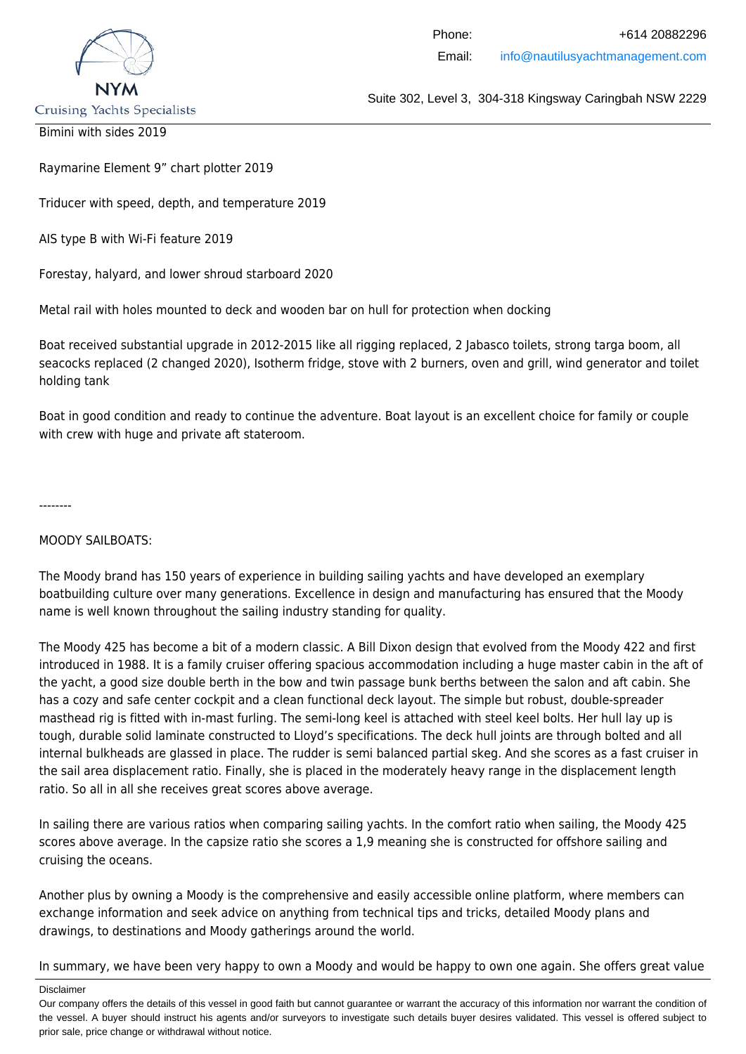

Bimini with sides 2019

Raymarine Element 9" chart plotter 2019

Triducer with speed, depth, and temperature 2019

AIS type B with Wi-Fi feature 2019

Forestay, halyard, and lower shroud starboard 2020

Metal rail with holes mounted to deck and wooden bar on hull for protection when docking

Boat received substantial upgrade in 2012-2015 like all rigging replaced, 2 Jabasco toilets, strong targa boom, all seacocks replaced (2 changed 2020), Isotherm fridge, stove with 2 burners, oven and grill, wind generator and toilet holding tank

Boat in good condition and ready to continue the adventure. Boat layout is an excellent choice for family or couple with crew with huge and private aft stateroom.

--------

MOODY SAILBOATS:

The Moody brand has 150 years of experience in building sailing yachts and have developed an exemplary boatbuilding culture over many generations. Excellence in design and manufacturing has ensured that the Moody name is well known throughout the sailing industry standing for quality.

The Moody 425 has become a bit of a modern classic. A Bill Dixon design that evolved from the Moody 422 and first introduced in 1988. It is a family cruiser offering spacious accommodation including a huge master cabin in the aft of the yacht, a good size double berth in the bow and twin passage bunk berths between the salon and aft cabin. She has a cozy and safe center cockpit and a clean functional deck layout. The simple but robust, double-spreader masthead rig is fitted with in-mast furling. The semi-long keel is attached with steel keel bolts. Her hull lay up is tough, durable solid laminate constructed to Lloyd's specifications. The deck hull joints are through bolted and all internal bulkheads are glassed in place. The rudder is semi balanced partial skeg. And she scores as a fast cruiser in the sail area displacement ratio. Finally, she is placed in the moderately heavy range in the displacement length ratio. So all in all she receives great scores above average.

In sailing there are various ratios when comparing sailing yachts. In the comfort ratio when sailing, the Moody 425 scores above average. In the capsize ratio she scores a 1,9 meaning she is constructed for offshore sailing and cruising the oceans.

Another plus by owning a Moody is the comprehensive and easily accessible online platform, where members can exchange information and seek advice on anything from technical tips and tricks, detailed Moody plans and drawings, to destinations and Moody gatherings around the world.

In summary, we have been very happy to own a Moody and would be happy to own one again. She offers great value

Our company offers the details of this vessel in good faith but cannot guarantee or warrant the accuracy of this information nor warrant the condition of the vessel. A buyer should instruct his agents and/or surveyors to investigate such details buyer desires validated. This vessel is offered subject to prior sale, price change or withdrawal without notice.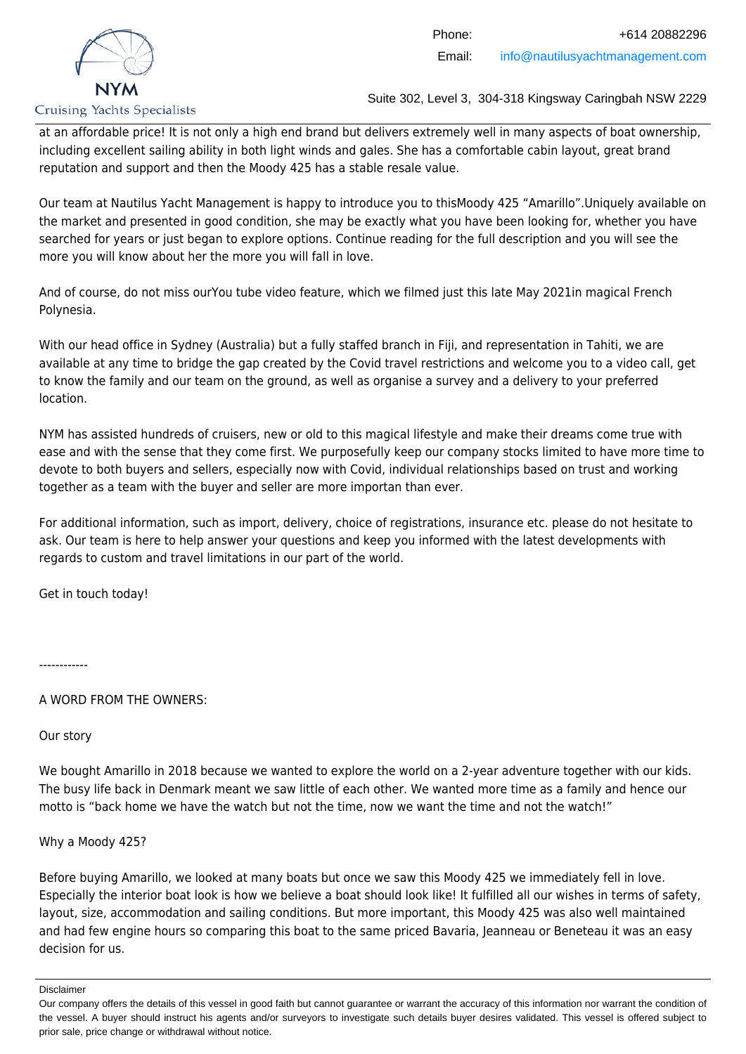

at an affordable price! It is not only a high end brand but delivers extremely well in many aspects of boat ownership, including excellent sailing ability in both light winds and gales. She has a comfortable cabin layout, great brand reputation and support and then the Moody 425 has a stable resale value.

Our team at Nautilus Yacht Management is happy to introduce you to thisMoody 425 "Amarillo".Uniquely available on the market and presented in good condition, she may be exactly what you have been looking for, whether you have searched for years or just began to explore options. Continue reading for the full description and you will see the more you will know about her the more you will fall in love.

And of course, do not miss ourYou tube video feature, which we filmed just this late May 2021in magical French Polynesia.

With our head office in Sydney (Australia) but a fully staffed branch in Fiji, and representation in Tahiti, we are available at any time to bridge the gap created by the Covid travel restrictions and welcome you to a video call, get to know the family and our team on the ground, as well as organise a survey and a delivery to your preferred location.

NYM has assisted hundreds of cruisers, new or old to this magical lifestyle and make their dreams come true with ease and with the sense that they come first. We purposefully keep our company stocks limited to have more time to devote to both buyers and sellers, especially now with Covid, individual relationships based on trust and working together as a team with the buyer and seller are more importan than ever.

For additional information, such as import, delivery, choice of registrations, insurance etc. please do not hesitate to ask. Our team is here to help answer your questions and keep you informed with the latest developments with regards to custom and travel limitations in our part of the world.

Get in touch today!

------------

A WORD FROM THE OWNERS:

Our story

We bought Amarillo in 2018 because we wanted to explore the world on a 2-year adventure together with our kids. The busy life back in Denmark meant we saw little of each other. We wanted more time as a family and hence our motto is "back home we have the watch but not the time, now we want the time and not the watch!"

Why a Moody 425?

Before buying Amarillo, we looked at many boats but once we saw this Moody 425 we immediately fell in love. Especially the interior boat look is how we believe a boat should look like! It fulfilled all our wishes in terms of safety, layout, size, accommodation and sailing conditions. But more important, this Moody 425 was also well maintained and had few engine hours so comparing this boat to the same priced Bavaria, Jeanneau or Beneteau it was an easy decision for us.

Our company offers the details of this vessel in good faith but cannot guarantee or warrant the accuracy of this information nor warrant the condition of the vessel. A buyer should instruct his agents and/or surveyors to investigate such details buyer desires validated. This vessel is offered subject to prior sale, price change or withdrawal without notice.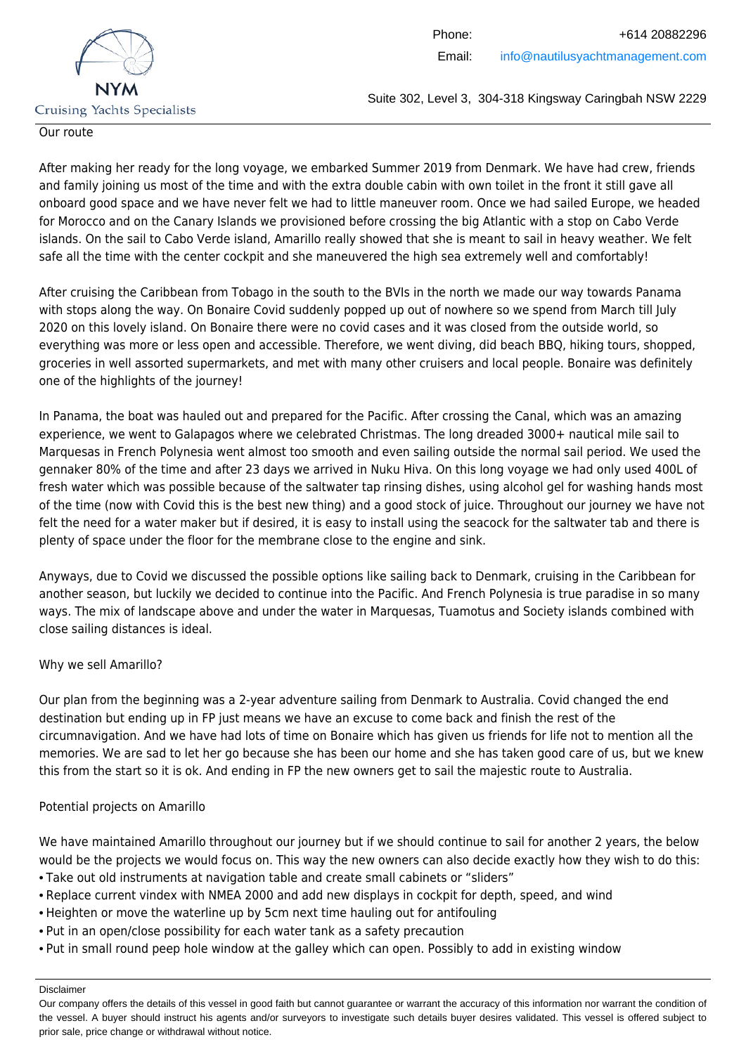

#### Our route

After making her ready for the long voyage, we embarked Summer 2019 from Denmark. We have had crew, friends and family joining us most of the time and with the extra double cabin with own toilet in the front it still gave all onboard good space and we have never felt we had to little maneuver room. Once we had sailed Europe, we headed for Morocco and on the Canary Islands we provisioned before crossing the big Atlantic with a stop on Cabo Verde islands. On the sail to Cabo Verde island, Amarillo really showed that she is meant to sail in heavy weather. We felt safe all the time with the center cockpit and she maneuvered the high sea extremely well and comfortably!

After cruising the Caribbean from Tobago in the south to the BVIs in the north we made our way towards Panama with stops along the way. On Bonaire Covid suddenly popped up out of nowhere so we spend from March till July 2020 on this lovely island. On Bonaire there were no covid cases and it was closed from the outside world, so everything was more or less open and accessible. Therefore, we went diving, did beach BBQ, hiking tours, shopped, groceries in well assorted supermarkets, and met with many other cruisers and local people. Bonaire was definitely one of the highlights of the journey!

In Panama, the boat was hauled out and prepared for the Pacific. After crossing the Canal, which was an amazing experience, we went to Galapagos where we celebrated Christmas. The long dreaded 3000+ nautical mile sail to Marquesas in French Polynesia went almost too smooth and even sailing outside the normal sail period. We used the gennaker 80% of the time and after 23 days we arrived in Nuku Hiva. On this long voyage we had only used 400L of fresh water which was possible because of the saltwater tap rinsing dishes, using alcohol gel for washing hands most of the time (now with Covid this is the best new thing) and a good stock of juice. Throughout our journey we have not felt the need for a water maker but if desired, it is easy to install using the seacock for the saltwater tab and there is plenty of space under the floor for the membrane close to the engine and sink.

Anyways, due to Covid we discussed the possible options like sailing back to Denmark, cruising in the Caribbean for another season, but luckily we decided to continue into the Pacific. And French Polynesia is true paradise in so many ways. The mix of landscape above and under the water in Marquesas, Tuamotus and Society islands combined with close sailing distances is ideal.

#### Why we sell Amarillo?

Our plan from the beginning was a 2-year adventure sailing from Denmark to Australia. Covid changed the end destination but ending up in FP just means we have an excuse to come back and finish the rest of the circumnavigation. And we have had lots of time on Bonaire which has given us friends for life not to mention all the memories. We are sad to let her go because she has been our home and she has taken good care of us, but we knew this from the start so it is ok. And ending in FP the new owners get to sail the majestic route to Australia.

### Potential projects on Amarillo

We have maintained Amarillo throughout our journey but if we should continue to sail for another 2 years, the below would be the projects we would focus on. This way the new owners can also decide exactly how they wish to do this: • Take out old instruments at navigation table and create small cabinets or "sliders"

- Replace current vindex with NMEA 2000 and add new displays in cockpit for depth, speed, and wind
- Heighten or move the waterline up by 5cm next time hauling out for antifouling
- Put in an open/close possibility for each water tank as a safety precaution
- Put in small round peep hole window at the galley which can open. Possibly to add in existing window

#### Disclaimer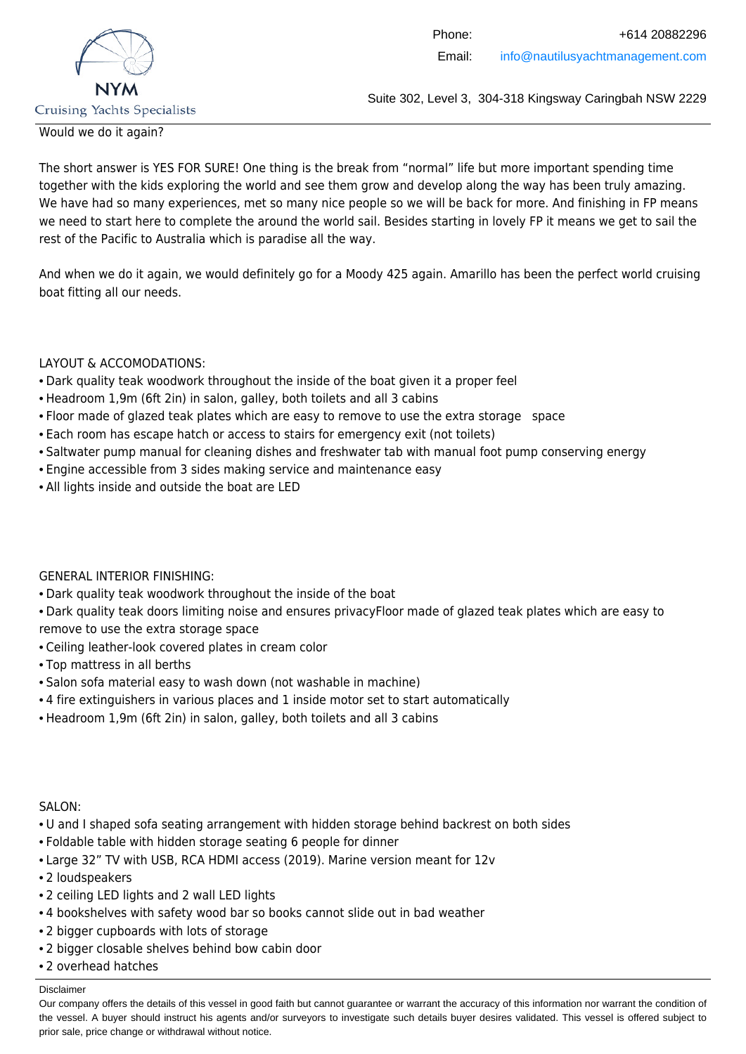

#### Would we do it again?

The short answer is YES FOR SURE! One thing is the break from "normal" life but more important spending time together with the kids exploring the world and see them grow and develop along the way has been truly amazing. We have had so many experiences, met so many nice people so we will be back for more. And finishing in FP means we need to start here to complete the around the world sail. Besides starting in lovely FP it means we get to sail the rest of the Pacific to Australia which is paradise all the way.

And when we do it again, we would definitely go for a Moody 425 again. Amarillo has been the perfect world cruising boat fitting all our needs.

#### LAYOUT & ACCOMODATIONS:

- Dark quality teak woodwork throughout the inside of the boat given it a proper feel
- Headroom 1,9m (6ft 2in) in salon, galley, both toilets and all 3 cabins
- Floor made of glazed teak plates which are easy to remove to use the extra storage space
- Each room has escape hatch or access to stairs for emergency exit (not toilets)
- Saltwater pump manual for cleaning dishes and freshwater tab with manual foot pump conserving energy
- Engine accessible from 3 sides making service and maintenance easy
- All lights inside and outside the boat are LED

### GENERAL INTERIOR FINISHING:

- Dark quality teak woodwork throughout the inside of the boat
- Dark quality teak doors limiting noise and ensures privacyFloor made of glazed teak plates which are easy to remove to use the extra storage space
- Ceiling leather-look covered plates in cream color
- Top mattress in all berths
- Salon sofa material easy to wash down (not washable in machine)
- 4 fire extinguishers in various places and 1 inside motor set to start automatically
- Headroom 1,9m (6ft 2in) in salon, galley, both toilets and all 3 cabins

#### SALON:

- U and I shaped sofa seating arrangement with hidden storage behind backrest on both sides
- Foldable table with hidden storage seating 6 people for dinner
- Large 32" TV with USB, RCA HDMI access (2019). Marine version meant for 12v
- 2 loudspeakers
- 2 ceiling LED lights and 2 wall LED lights
- 4 bookshelves with safety wood bar so books cannot slide out in bad weather
- 2 bigger cupboards with lots of storage
- 2 bigger closable shelves behind bow cabin door
- 2 overhead hatches

#### Disclaimer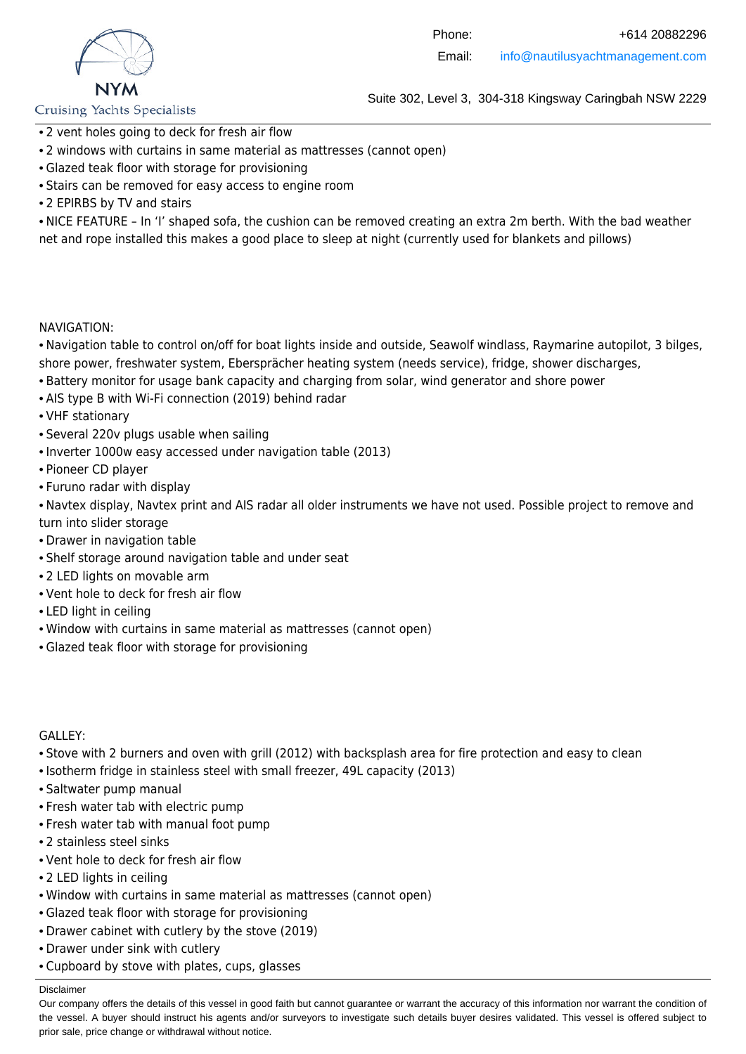

#### **Cruising Yachts Specialists**

- 2 vent holes going to deck for fresh air flow
- 2 windows with curtains in same material as mattresses (cannot open)
- Glazed teak floor with storage for provisioning
- Stairs can be removed for easy access to engine room
- 2 EPIRBS by TV and stairs

• NICE FEATURE – In 'I' shaped sofa, the cushion can be removed creating an extra 2m berth. With the bad weather net and rope installed this makes a good place to sleep at night (currently used for blankets and pillows)

#### NAVIGATION:

• Navigation table to control on/off for boat lights inside and outside, Seawolf windlass, Raymarine autopilot, 3 bilges, shore power, freshwater system, Ebersprächer heating system (needs service), fridge, shower discharges,

- Battery monitor for usage bank capacity and charging from solar, wind generator and shore power
- AIS type B with Wi-Fi connection (2019) behind radar
- VHF stationary
- Several 220v plugs usable when sailing
- Inverter 1000w easy accessed under navigation table (2013)
- Pioneer CD player
- Furuno radar with display

• Navtex display, Navtex print and AIS radar all older instruments we have not used. Possible project to remove and turn into slider storage

- Drawer in navigation table
- Shelf storage around navigation table and under seat
- 2 LED lights on movable arm
- Vent hole to deck for fresh air flow
- LED light in ceiling
- Window with curtains in same material as mattresses (cannot open)
- Glazed teak floor with storage for provisioning

#### GALLEY:

- Stove with 2 burners and oven with grill (2012) with backsplash area for fire protection and easy to clean
- Isotherm fridge in stainless steel with small freezer, 49L capacity (2013)
- Saltwater pump manual
- Fresh water tab with electric pump
- Fresh water tab with manual foot pump
- 2 stainless steel sinks
- Vent hole to deck for fresh air flow
- 2 LED lights in ceiling
- Window with curtains in same material as mattresses (cannot open)
- Glazed teak floor with storage for provisioning
- Drawer cabinet with cutlery by the stove (2019)
- Drawer under sink with cutlery
- Cupboard by stove with plates, cups, glasses

#### Disclaimer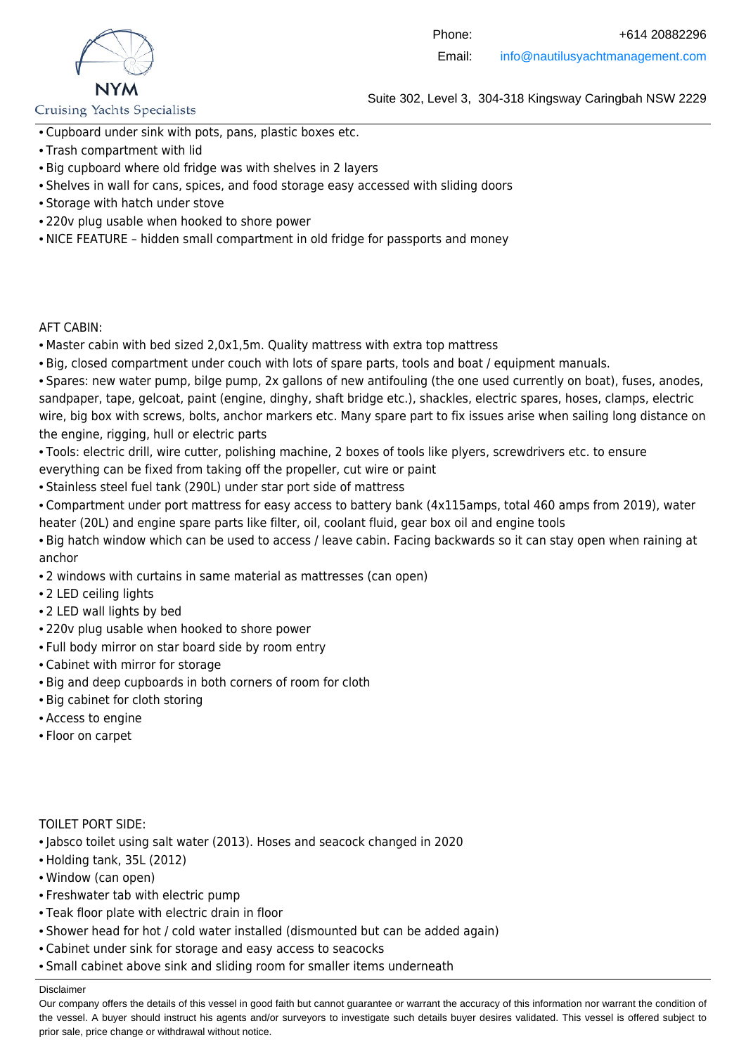

#### **Cruising Yachts Specialists**

- Suite 302, Level 3, 304-318 Kingsway Caringbah NSW 2229
- Cupboard under sink with pots, pans, plastic boxes etc.
- Trash compartment with lid
- Big cupboard where old fridge was with shelves in 2 layers
- Shelves in wall for cans, spices, and food storage easy accessed with sliding doors
- Storage with hatch under stove
- 220v plug usable when hooked to shore power
- NICE FEATURE hidden small compartment in old fridge for passports and money

#### AFT CABIN:

- Master cabin with bed sized 2,0x1,5m. Quality mattress with extra top mattress
- Big, closed compartment under couch with lots of spare parts, tools and boat / equipment manuals.
- Spares: new water pump, bilge pump, 2x gallons of new antifouling (the one used currently on boat), fuses, anodes, sandpaper, tape, gelcoat, paint (engine, dinghy, shaft bridge etc.), shackles, electric spares, hoses, clamps, electric wire, big box with screws, bolts, anchor markers etc. Many spare part to fix issues arise when sailing long distance on the engine, rigging, hull or electric parts
- Tools: electric drill, wire cutter, polishing machine, 2 boxes of tools like plyers, screwdrivers etc. to ensure everything can be fixed from taking off the propeller, cut wire or paint
- Stainless steel fuel tank (290L) under star port side of mattress
- Compartment under port mattress for easy access to battery bank (4x115amps, total 460 amps from 2019), water heater (20L) and engine spare parts like filter, oil, coolant fluid, gear box oil and engine tools
- Big hatch window which can be used to access / leave cabin. Facing backwards so it can stay open when raining at anchor
- 2 windows with curtains in same material as mattresses (can open)
- 2 LED ceiling lights
- 2 LED wall lights by bed
- 220v plug usable when hooked to shore power
- Full body mirror on star board side by room entry
- Cabinet with mirror for storage
- Big and deep cupboards in both corners of room for cloth
- Big cabinet for cloth storing
- Access to engine
- Floor on carpet

#### TOILET PORT SIDE:

- Jabsco toilet using salt water (2013). Hoses and seacock changed in 2020
- Holding tank, 35L (2012)
- Window (can open)
- Freshwater tab with electric pump
- Teak floor plate with electric drain in floor
- Shower head for hot / cold water installed (dismounted but can be added again)
- Cabinet under sink for storage and easy access to seacocks
- Small cabinet above sink and sliding room for smaller items underneath

#### Disclaimer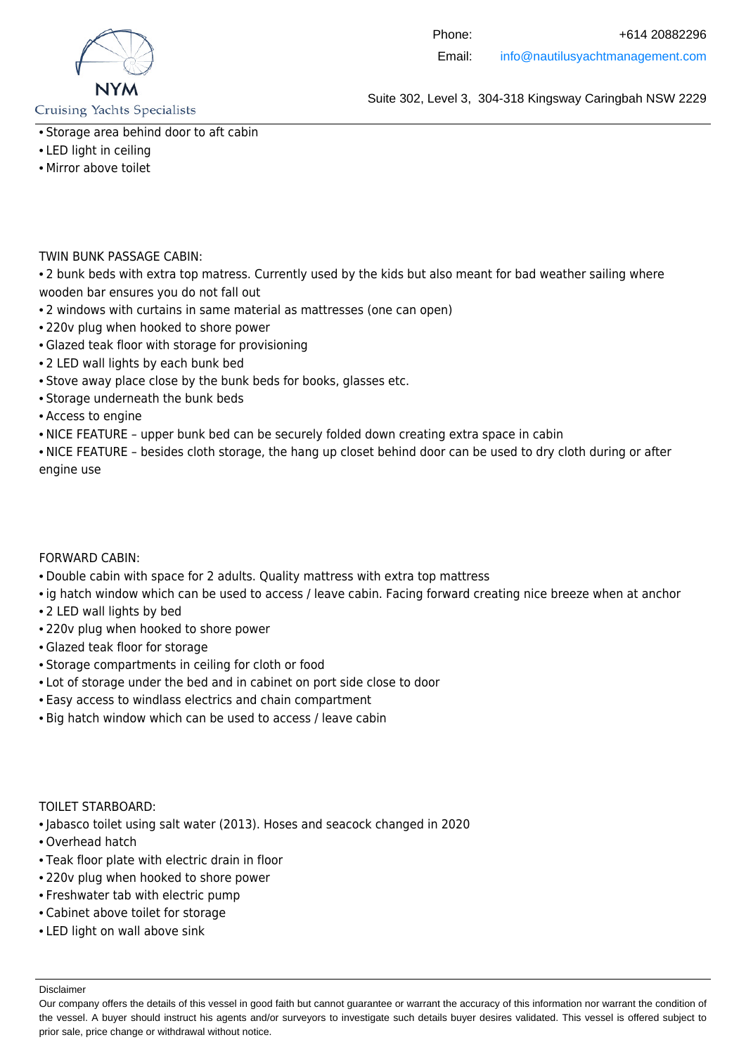

**Cruising Yachts Specialists** 

- Storage area behind door to aft cabin
- LED light in ceiling
- Mirror above toilet

TWIN BUNK PASSAGE CABIN:

• 2 bunk beds with extra top matress. Currently used by the kids but also meant for bad weather sailing where wooden bar ensures you do not fall out

- 2 windows with curtains in same material as mattresses (one can open)
- 220v plug when hooked to shore power
- Glazed teak floor with storage for provisioning
- 2 LED wall lights by each bunk bed
- Stove away place close by the bunk beds for books, glasses etc.
- Storage underneath the bunk beds
- Access to engine
- NICE FEATURE upper bunk bed can be securely folded down creating extra space in cabin

• NICE FEATURE – besides cloth storage, the hang up closet behind door can be used to dry cloth during or after engine use

FORWARD CABIN:

- Double cabin with space for 2 adults. Quality mattress with extra top mattress
- ig hatch window which can be used to access / leave cabin. Facing forward creating nice breeze when at anchor
- 2 LED wall lights by bed
- 220v plug when hooked to shore power
- Glazed teak floor for storage
- Storage compartments in ceiling for cloth or food
- Lot of storage under the bed and in cabinet on port side close to door
- Easy access to windlass electrics and chain compartment
- Big hatch window which can be used to access / leave cabin

#### TOILET STARBOARD:

- Jabasco toilet using salt water (2013). Hoses and seacock changed in 2020
- Overhead hatch
- Teak floor plate with electric drain in floor
- 220v plug when hooked to shore power
- Freshwater tab with electric pump
- Cabinet above toilet for storage
- LED light on wall above sink

Our company offers the details of this vessel in good faith but cannot guarantee or warrant the accuracy of this information nor warrant the condition of the vessel. A buyer should instruct his agents and/or surveyors to investigate such details buyer desires validated. This vessel is offered subject to prior sale, price change or withdrawal without notice.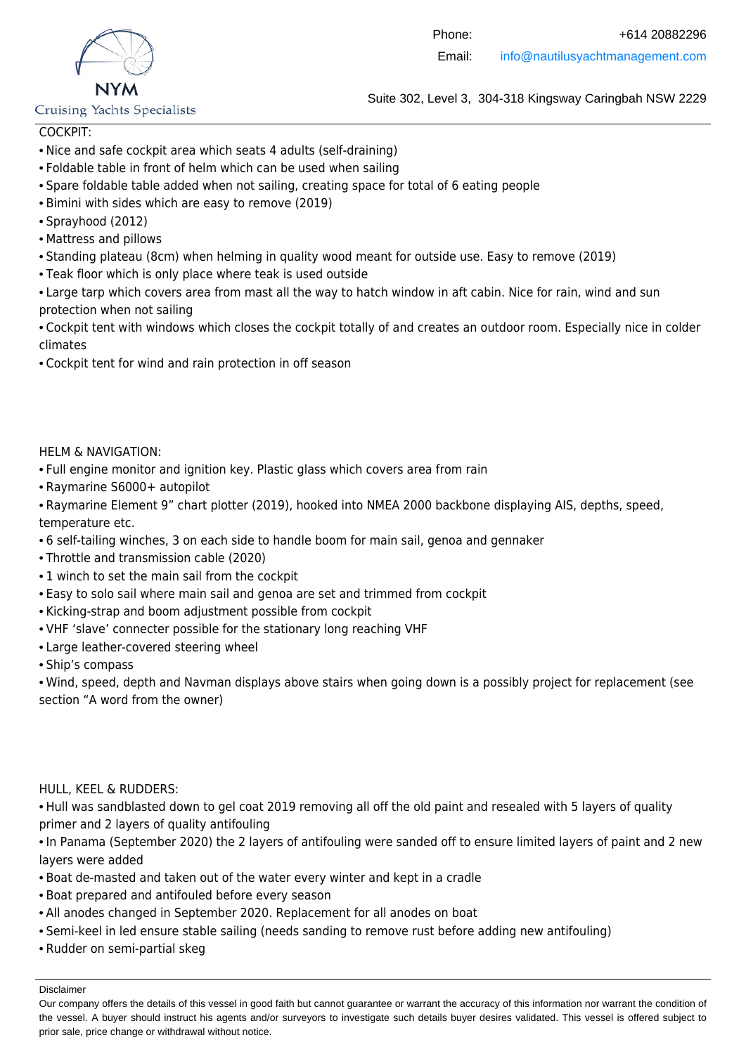

#### **Cruising Yachts Specialists**

Suite 302, Level 3, 304-318 Kingsway Caringbah NSW 2229

### COCKPIT:

- Nice and safe cockpit area which seats 4 adults (self-draining)
- Foldable table in front of helm which can be used when sailing
- Spare foldable table added when not sailing, creating space for total of 6 eating people
- Bimini with sides which are easy to remove (2019)
- Sprayhood (2012)
- Mattress and pillows
- Standing plateau (8cm) when helming in quality wood meant for outside use. Easy to remove (2019)
- Teak floor which is only place where teak is used outside
- Large tarp which covers area from mast all the way to hatch window in aft cabin. Nice for rain, wind and sun protection when not sailing

• Cockpit tent with windows which closes the cockpit totally of and creates an outdoor room. Especially nice in colder climates

• Cockpit tent for wind and rain protection in off season

#### HELM & NAVIGATION:

- Full engine monitor and ignition key. Plastic glass which covers area from rain
- Raymarine S6000+ autopilot

• Raymarine Element 9" chart plotter (2019), hooked into NMEA 2000 backbone displaying AIS, depths, speed, temperature etc.

- 6 self-tailing winches, 3 on each side to handle boom for main sail, genoa and gennaker
- Throttle and transmission cable (2020)
- 1 winch to set the main sail from the cockpit
- Easy to solo sail where main sail and genoa are set and trimmed from cockpit
- Kicking-strap and boom adjustment possible from cockpit
- VHF 'slave' connecter possible for the stationary long reaching VHF
- Large leather-covered steering wheel
- Ship's compass

• Wind, speed, depth and Navman displays above stairs when going down is a possibly project for replacement (see section "A word from the owner)

HULL, KEEL & RUDDERS:

• Hull was sandblasted down to gel coat 2019 removing all off the old paint and resealed with 5 layers of quality primer and 2 layers of quality antifouling

• In Panama (September 2020) the 2 layers of antifouling were sanded off to ensure limited layers of paint and 2 new layers were added

- Boat de-masted and taken out of the water every winter and kept in a cradle
- Boat prepared and antifouled before every season
- All anodes changed in September 2020. Replacement for all anodes on boat
- Semi-keel in led ensure stable sailing (needs sanding to remove rust before adding new antifouling)
- Rudder on semi-partial skeg

Disclaimer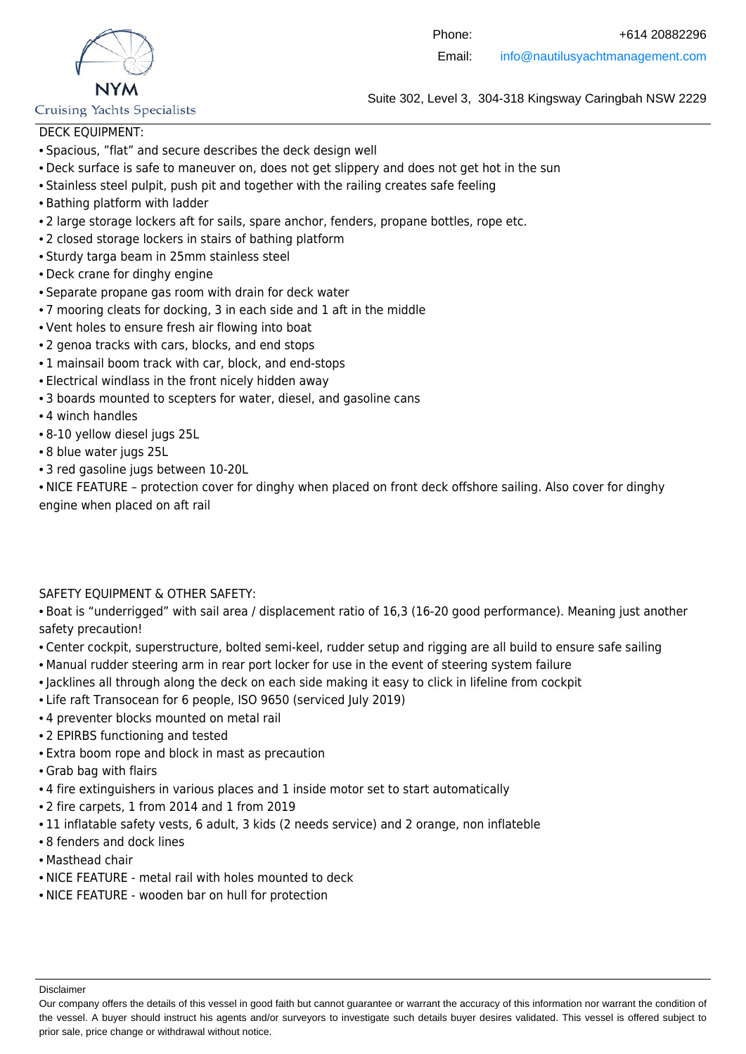

**Cruising Yachts Specialists** 

Suite 302, Level 3, 304-318 Kingsway Caringbah NSW 2229

#### DECK EQUIPMENT:

- Spacious, "flat" and secure describes the deck design well
- Deck surface is safe to maneuver on, does not get slippery and does not get hot in the sun
- Stainless steel pulpit, push pit and together with the railing creates safe feeling
- Bathing platform with ladder
- 2 large storage lockers aft for sails, spare anchor, fenders, propane bottles, rope etc.
- 2 closed storage lockers in stairs of bathing platform
- Sturdy targa beam in 25mm stainless steel
- Deck crane for dinghy engine
- Separate propane gas room with drain for deck water
- 7 mooring cleats for docking, 3 in each side and 1 aft in the middle
- Vent holes to ensure fresh air flowing into boat
- 2 genoa tracks with cars, blocks, and end stops
- 1 mainsail boom track with car, block, and end-stops
- Electrical windlass in the front nicely hidden away
- 3 boards mounted to scepters for water, diesel, and gasoline cans
- 4 winch handles
- 8-10 yellow diesel jugs 25L
- 8 blue water jugs 25L
- 3 red gasoline jugs between 10-20L

• NICE FEATURE – protection cover for dinghy when placed on front deck offshore sailing. Also cover for dinghy engine when placed on aft rail

#### SAFETY EQUIPMENT & OTHER SAFETY:

• Boat is "underrigged" with sail area / displacement ratio of 16,3 (16-20 good performance). Meaning just another safety precaution!

- Center cockpit, superstructure, bolted semi-keel, rudder setup and rigging are all build to ensure safe sailing
- Manual rudder steering arm in rear port locker for use in the event of steering system failure
- Jacklines all through along the deck on each side making it easy to click in lifeline from cockpit
- Life raft Transocean for 6 people, ISO 9650 (serviced July 2019)
- 4 preventer blocks mounted on metal rail
- 2 EPIRBS functioning and tested
- Extra boom rope and block in mast as precaution
- Grab bag with flairs
- 4 fire extinguishers in various places and 1 inside motor set to start automatically
- 2 fire carpets, 1 from 2014 and 1 from 2019
- 11 inflatable safety vests, 6 adult, 3 kids (2 needs service) and 2 orange, non inflateble
- 8 fenders and dock lines
- Masthead chair
- NICE FEATURE metal rail with holes mounted to deck
- NICE FEATURE wooden bar on hull for protection

Our company offers the details of this vessel in good faith but cannot guarantee or warrant the accuracy of this information nor warrant the condition of the vessel. A buyer should instruct his agents and/or surveyors to investigate such details buyer desires validated. This vessel is offered subject to prior sale, price change or withdrawal without notice.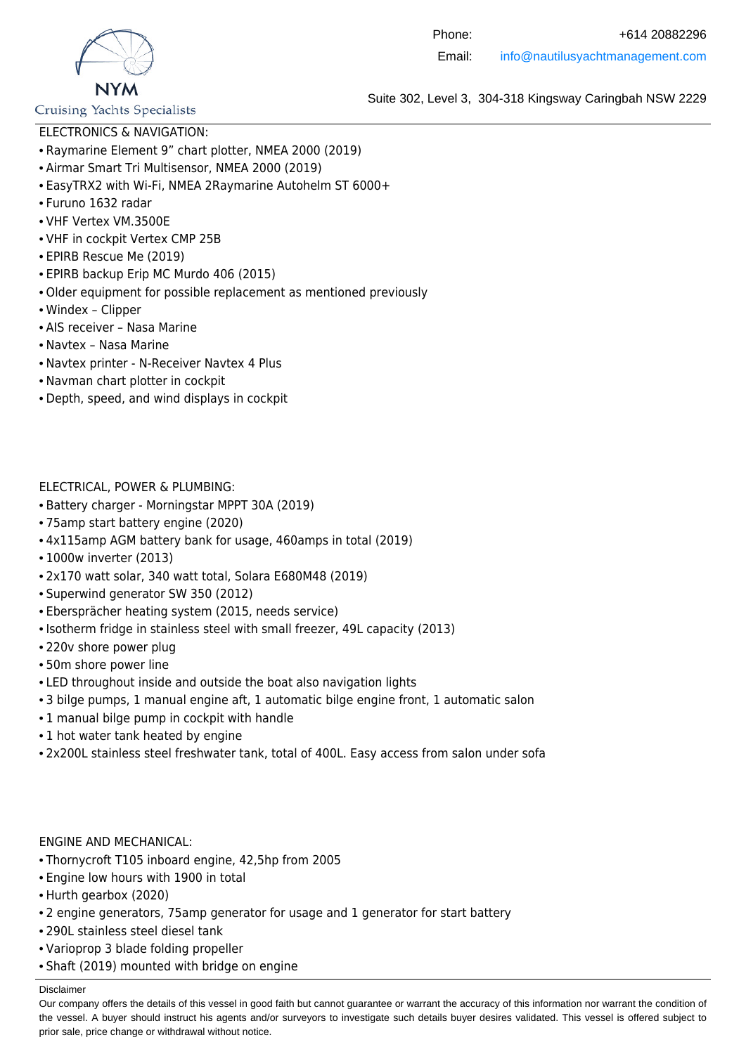

### **Cruising Yachts Specialists**

ELECTRONICS & NAVIGATION:

- Raymarine Element 9" chart plotter, NMEA 2000 (2019)
- Airmar Smart Tri Multisensor, NMEA 2000 (2019)
- EasyTRX2 with Wi-Fi, NMEA 2Raymarine Autohelm ST 6000+
- Furuno 1632 radar
- VHF Vertex VM.3500E
- VHF in cockpit Vertex CMP 25B
- EPIRB Rescue Me (2019)
- EPIRB backup Erip MC Murdo 406 (2015)
- Older equipment for possible replacement as mentioned previously
- Windex Clipper
- AIS receiver Nasa Marine
- Navtex Nasa Marine
- Navtex printer N-Receiver Navtex 4 Plus
- Navman chart plotter in cockpit
- Depth, speed, and wind displays in cockpit

### ELECTRICAL, POWER & PLUMBING:

- Battery charger Morningstar MPPT 30A (2019)
- 75amp start battery engine (2020)
- 4x115amp AGM battery bank for usage, 460amps in total (2019)
- 1000w inverter (2013)
- 2x170 watt solar, 340 watt total, Solara E680M48 (2019)
- Superwind generator SW 350 (2012)
- Ebersprächer heating system (2015, needs service)
- Isotherm fridge in stainless steel with small freezer, 49L capacity (2013)
- 220v shore power plug
- 50m shore power line
- LED throughout inside and outside the boat also navigation lights
- 3 bilge pumps, 1 manual engine aft, 1 automatic bilge engine front, 1 automatic salon
- 1 manual bilge pump in cockpit with handle
- 1 hot water tank heated by engine
- 2x200L stainless steel freshwater tank, total of 400L. Easy access from salon under sofa

### ENGINE AND MECHANICAL:

- Thornycroft T105 inboard engine, 42,5hp from 2005
- Engine low hours with 1900 in total
- Hurth gearbox (2020)
- 2 engine generators, 75amp generator for usage and 1 generator for start battery
- 290L stainless steel diesel tank
- Varioprop 3 blade folding propeller
- Shaft (2019) mounted with bridge on engine

#### Disclaimer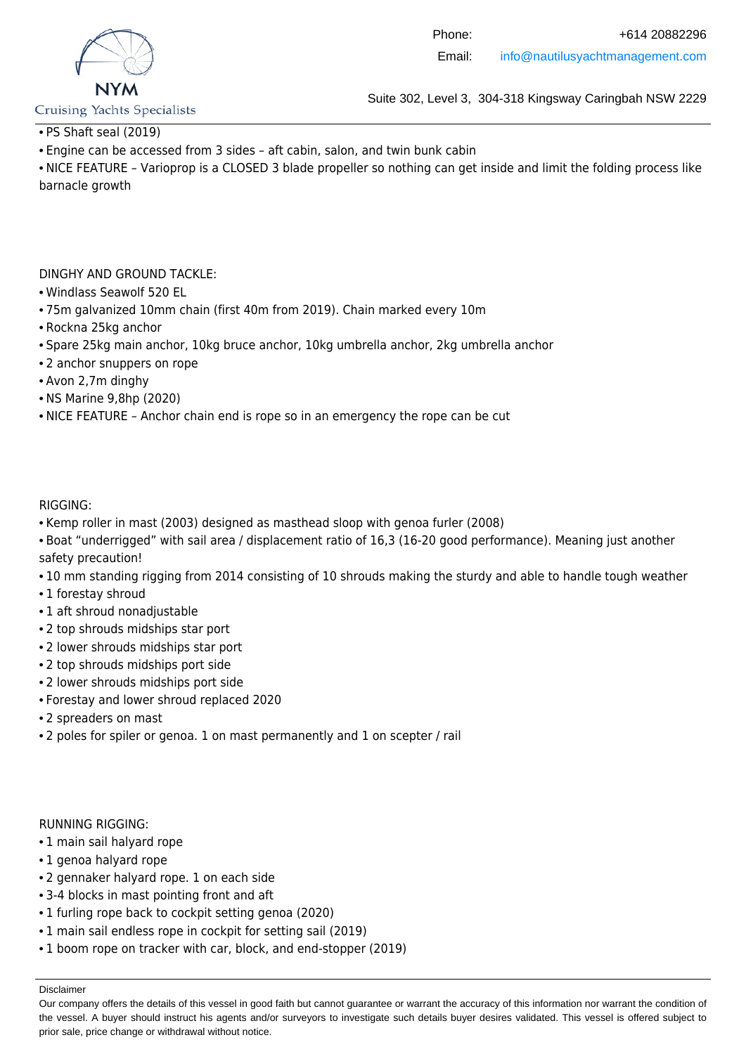

#### **Cruising Yachts Specialists**

Suite 302, Level 3, 304-318 Kingsway Caringbah NSW 2229

- PS Shaft seal (2019)
- Engine can be accessed from 3 sides aft cabin, salon, and twin bunk cabin

• NICE FEATURE – Varioprop is a CLOSED 3 blade propeller so nothing can get inside and limit the folding process like barnacle growth

#### DINGHY AND GROUND TACKLE:

- Windlass Seawolf 520 EL
- 75m galvanized 10mm chain (first 40m from 2019). Chain marked every 10m
- Rockna 25kg anchor
- Spare 25kg main anchor, 10kg bruce anchor, 10kg umbrella anchor, 2kg umbrella anchor
- 2 anchor snuppers on rope
- Avon 2,7m dinghy
- NS Marine 9,8hp (2020)
- NICE FEATURE Anchor chain end is rope so in an emergency the rope can be cut

#### RIGGING:

- Kemp roller in mast (2003) designed as masthead sloop with genoa furler (2008)
- Boat "underrigged" with sail area / displacement ratio of 16,3 (16-20 good performance). Meaning just another safety precaution!
- 10 mm standing rigging from 2014 consisting of 10 shrouds making the sturdy and able to handle tough weather
- 1 forestay shroud
- 1 aft shroud nonadiustable
- 2 top shrouds midships star port
- 2 lower shrouds midships star port
- 2 top shrouds midships port side
- 2 lower shrouds midships port side
- Forestay and lower shroud replaced 2020
- 2 spreaders on mast
- 2 poles for spiler or genoa. 1 on mast permanently and 1 on scepter / rail

#### RUNNING RIGGING:

- 1 main sail halyard rope
- 1 genoa halyard rope
- 2 gennaker halyard rope. 1 on each side
- 3-4 blocks in mast pointing front and aft
- 1 furling rope back to cockpit setting genoa (2020)
- 1 main sail endless rope in cockpit for setting sail (2019)
- 1 boom rope on tracker with car, block, and end-stopper (2019)

Disclaimer